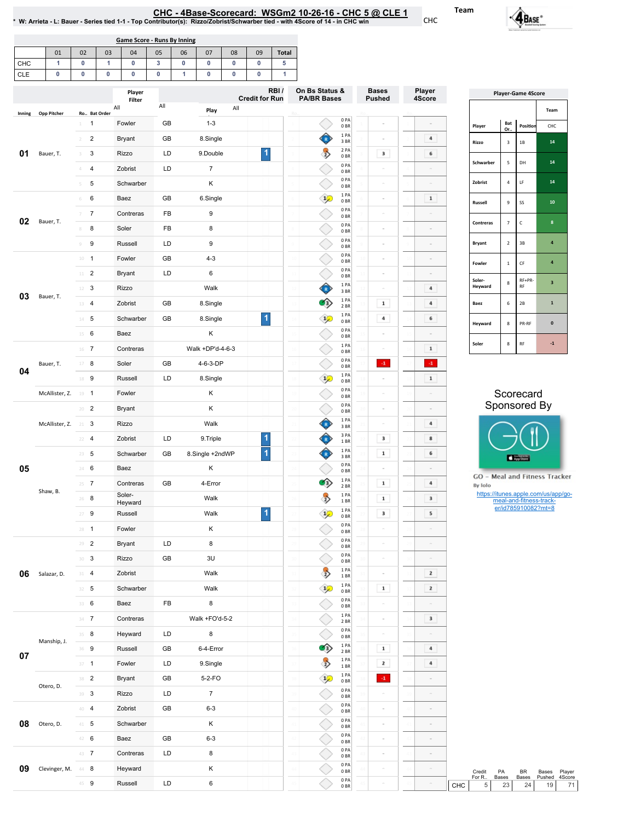CHC-4Base-Scorecard:WSGm210-26-16-CHC5@ CLE1 \*W:Arrieta-L:Bauer-Seriestied1-1-TopContributor(s):Rizzo/Zobrist/Schwarbertied-with4Scoreof14-inCHCwin

01 | 02 | 03 | 04 | 05 | 06 | 07 | 08 | 09 | Total | CHC CLE 1 0 1 0 3 0 0 0 0 5 0 0 0 0 0 1 0 0 0 1 Game Score - Runs By Inning

|        |                                 |                                  | Player<br>Filter  |     |                  | RBI/<br><b>Credit for Run</b> | On Bs Status &<br><b>PA/BR Bases</b>     | <b>Bases</b><br><b>Pushed</b> | Player<br>4Score        | <b>Player-Game 4Score</b>                |                                  |                         |                                     |
|--------|---------------------------------|----------------------------------|-------------------|-----|------------------|-------------------------------|------------------------------------------|-------------------------------|-------------------------|------------------------------------------|----------------------------------|-------------------------|-------------------------------------|
| Inning | <b>Opp Pitcher</b>              | Ro Bat Order                     | All               | All | All<br>Play      |                               |                                          |                               |                         |                                          |                                  |                         | Team                                |
|        |                                 | $\overline{1}$<br>$\perp$        | Fowler            | GB  | $1 - 3$          |                               | 0 PA<br>0 <sub>BR</sub>                  |                               |                         | Player                                   | Bat                              | Position                | CHC                                 |
|        |                                 | $\overline{2}$<br>$\overline{2}$ | Bryant            | GB  | 8.Single         |                               | 1PA<br>♦<br>3 BR                         |                               | 4                       | Rizzo                                    | Or.<br>$\ensuremath{\mathsf{3}}$ | $1\mathrm{B}$           | 14                                  |
| 01     | Bauer, T.                       | 3<br>$\overline{\mathbf{3}}$     | Rizzo             | LD  | 9.Double         | $\vert$ 1                     | $\rightarrow$<br>2 PA<br>0BR             | 3                             | 6                       |                                          |                                  |                         |                                     |
|        |                                 | $\mathcal{A}^-$<br>4             | Zobrist           | LD  | $\overline{7}$   |                               | 0PA<br>0BR                               |                               |                         | Schwarber                                | ${\sf s}$                        | DH                      | 14                                  |
|        |                                 | 5<br>5                           | Schwarber         |     | Κ                |                               | 0PA<br>0BR                               |                               |                         | Zobrist                                  | $\sqrt{4}$                       | $\mathsf{LF}$           | $14\,$                              |
|        |                                 | 6<br>$6\,$                       | Baez              | GB  | 6.Single         |                               | 1 PA<br>$\mathcal{P}$<br>0 <sub>BR</sub> |                               | $\mathbf{1}$            | Russell                                  | $\mathsf g$                      | SS                      | $10\,$                              |
|        |                                 | $\overline{7}$<br>$7 -$          | Contreras         | FB  | $\boldsymbol{9}$ |                               | 0PA<br>0 <sub>BR</sub>                   |                               |                         |                                          |                                  |                         |                                     |
| 02     | Bauer, T.                       | 8<br>8                           | Soler             | FB  | 8                |                               | 0PA<br>0 <sub>BR</sub>                   |                               | $\sim$                  | Contreras                                | $\overline{7}$                   | $\mathsf{C}$            | $\boldsymbol{8}$                    |
|        |                                 | 9<br>9                           | Russell           | LD  | $\boldsymbol{9}$ |                               | 0PA<br>0 BR                              |                               | $\equiv$                | Bryant                                   | $\overline{2}$                   | 3B                      | $\clubsuit$                         |
|        |                                 | $10 - 1$                         | Fowler            | GB  | $4 - 3$          |                               | 0PA<br>0 BR                              |                               |                         |                                          |                                  | $\mathsf{CF}$           | $\clubsuit$                         |
|        |                                 | $11$ 2                           | <b>Bryant</b>     | LD  | $\,6\,$          |                               | 0PA<br>0BR                               |                               |                         | Fowler                                   | $1\,$                            |                         |                                     |
|        |                                 | $12 - 3$                         | Rizzo             |     | Walk             |                               | Ĝ<br>1 PA<br>3BR                         |                               | $\bf{4}$                | Soler-<br>Heyward                        | 8                                | RF+PR-<br>RF            | $\mathbf 3$                         |
| 03     | Bauer, T.                       | 13 4                             | Zobrist           | GB  | 8.Single         |                               | 1PA<br>$\bullet$<br>2 BR                 | $\mathbf 1$                   | $\bf{4}$                | Baez                                     | 6                                | $2\mathsf{B}$           | $\mathbf 1$                         |
|        |                                 | $14 - 5$                         | Schwarber         | GB  | 8.Single         | $\vert$                       | 1PA<br>$\mathcal{P}$<br>0BR              | $\bf{4}$                      | 6                       |                                          |                                  |                         |                                     |
|        |                                 | 6<br>15                          | Baez              |     | Κ                |                               | 0PA<br>0 BR                              |                               | $\overline{a}$          | Heyward                                  | 8                                | PR-RF                   | $\pmb{0}$                           |
|        |                                 | $16$ 7                           | Contreras         |     | Walk +DP'd-4-6-3 |                               | 1PA<br>0 BR                              |                               | $1\,$                   | Soler                                    | $\bf8$                           | $\mathsf{RF}$           | $-1$                                |
|        | Bauer, T.                       | 17 8                             | Soler             | GB  | 4-6-3-DP         |                               | 0PA<br>0BR                               | $\{1\}$                       | $\cdot 1$               |                                          |                                  |                         |                                     |
| 04     |                                 | 18 9                             | Russell           | LD  | 8.Single         |                               | 1PA<br>$\mathcal{L}$<br>0 <sub>BR</sub>  |                               | $\mathbf 1$             |                                          |                                  |                         |                                     |
|        | McAllister, Z.                  | $19 - 1$                         | Fowler            |     | Κ                |                               | 0PA<br>0 <sub>BR</sub>                   |                               | $\sim$                  |                                          |                                  | Scorecard               |                                     |
|        | McAllister, Z. 21 3<br>Shaw, B. | $20 - 2$                         | <b>Bryant</b>     |     | Κ                |                               | 0PA<br>0BR                               |                               | $\sim$                  |                                          |                                  | Sponsored By            |                                     |
|        |                                 |                                  | <b>Rizzo</b>      |     | Walk             |                               | 1PA<br>Ĝ<br>3BR                          |                               | 4                       |                                          |                                  |                         |                                     |
|        |                                 | $22 - 4$                         | Zobrist           | LD  | 9. Triple        | $\overline{\mathbf{1}}$       | 3 PA<br>♥<br>1BR                         | 3                             | 8                       |                                          |                                  |                         |                                     |
|        |                                 | $23 \t 5$                        | Schwarber         | GB  | 8.Single +2ndWP  | $\overline{\mathbf{1}}$       | ♦<br>1 PA<br>3BR                         | $\mathbf 1$                   | 6                       |                                          |                                  |                         |                                     |
| 05     |                                 | 24 6                             | Baez              |     | Κ                |                               | 0PA<br>0 <sub>BR</sub>                   |                               |                         |                                          |                                  | App Store               |                                     |
|        |                                 | $25 - 7$                         | Contreras         | GB  | 4-Error          |                               | 1PA<br>$\bullet$<br>2 BR                 | $\mathbf 1$                   | $\overline{\bf 4}$      | GO - Meal and Fitness Tracker<br>By Iolo |                                  |                         |                                     |
|        |                                 | $26 - 8$                         | Soler-<br>Heyward |     | Walk             |                               | $\rightarrow$<br>1PA<br>1 BR             | $\mathbf 1$                   | $\overline{\mathbf{3}}$ |                                          |                                  | meal-and-fitness-track- | https://itunes.apple.com/us/app/go- |
|        |                                 | 9<br>27                          | Russell           |     | Walk             | $\blacktriangleleft$          | 1PA<br>$\mathcal{P}$<br>0BR              | 3                             | 5                       |                                          |                                  | er/id785910082?mt=8     |                                     |
|        |                                 | $28 - 1$                         | Fowler            |     | Κ                |                               | 0PA<br>0 BR                              |                               | $\sim$                  |                                          |                                  |                         |                                     |
|        |                                 | 29 2                             | <b>Bryant</b>     | LD  | 8                |                               | 0PA<br>0 <sub>BR</sub>                   |                               |                         |                                          |                                  |                         |                                     |
|        |                                 | $30-3$                           | Rizzo             | GB  | 3U               |                               | 0PA<br>0B                                |                               |                         |                                          |                                  |                         |                                     |
| 06     | Salazar, D.                     | $31 - 4$                         | Zobrist           |     | Walk             |                               | $\rightarrow$<br>1 PA<br>1 BR            |                               | $\mathbf{z}$            |                                          |                                  |                         |                                     |
|        |                                 | $32 - 5$                         | Schwarber         |     | Walk             |                               | 1 PA<br>$\mathcal{P}$<br>0BR             | $\mathbf 1$                   | $\overline{\mathbf{z}}$ |                                          |                                  |                         |                                     |
|        |                                 | 33 6                             | Baez              | FB  | 8                |                               | 0 PA<br>0BR                              |                               |                         |                                          |                                  |                         |                                     |
|        |                                 | $34 - 7$                         | Contreras         |     | Walk +FO'd-5-2   |                               | 1 PA<br>2 BR                             |                               | $\mathbf 3$             |                                          |                                  |                         |                                     |
|        |                                 | $35 - 8$                         | Heyward           | LD  | 8                |                               | 0PA<br>0BR                               |                               |                         |                                          |                                  |                         |                                     |
|        | Manship, J.                     | 36 9                             | Russell           | GB  | 6-4-Error        |                               | 1 PA<br>$\bullet$<br>2 BR                | $\mathbf 1$                   | $\overline{a}$          |                                          |                                  |                         |                                     |
| 07     |                                 | $37 - 1$                         | Fowler            | LD  | 9.Single         |                               | 1 PA<br>$\rightarrow$<br>1 BR            | $\mathbf{z}$                  | $\overline{4}$          |                                          |                                  |                         |                                     |
|        |                                 | 38 <sup>2</sup>                  | Bryant            | GB  | 5-2-FO           |                               | 1 PA<br>$\mathcal{P}$<br>0BR             | $\cdot 1$                     |                         |                                          |                                  |                         |                                     |
|        | Otero, D.                       | $39$ 3                           | Rizzo             | LD  | $\overline{7}$   |                               | 0 PA<br>0BR                              |                               |                         |                                          |                                  |                         |                                     |
|        |                                 | 40 4                             | Zobrist           | GB  | $6 - 3$          |                               | 0 PA<br>0BR                              |                               | $\sim$                  |                                          |                                  |                         |                                     |
| 08     | Otero, D.                       | $41 - 5$                         | Schwarber         |     | Κ                |                               | 0PA<br>0 BR                              |                               |                         |                                          |                                  |                         |                                     |
|        |                                 | 42 6                             | Baez              | GB  | $6 - 3$          |                               | 0PA<br>0BR                               | $\sim$                        | $\equiv$                |                                          |                                  |                         |                                     |
|        |                                 | 43 7                             | Contreras         | LD  | 8                |                               | 0 PA<br>0 BR                             |                               | $\sim$                  |                                          |                                  |                         |                                     |
| 09     | Clevinger, M. 44 8              |                                  | Heyward           |     | Κ                |                               | 0 PA<br>0 <sub>BR</sub>                  |                               |                         |                                          |                                  | BR                      | Bases                               |
|        |                                 | 45 9                             | Russell           | LD  | 6                |                               | 0PA                                      |                               |                         | Credit<br>For R<br>5                     | PA<br>Bases<br>23                | Bases<br>24             | Player<br>Pushed<br>4Score<br>19    |
|        |                                 |                                  |                   |     |                  |                               | 0BR                                      |                               |                         | CHC                                      |                                  |                         |                                     |

| <b>Player-Game 4Score</b> |                         |              |              |  |  |  |  |  |  |
|---------------------------|-------------------------|--------------|--------------|--|--|--|--|--|--|
|                           |                         |              | Team         |  |  |  |  |  |  |
| Player                    | Bat<br>Or               | Position     | CHC          |  |  |  |  |  |  |
| Rizzo                     | 3                       | 1B           | 14           |  |  |  |  |  |  |
| Schwarber                 | 5                       | DH           | 14           |  |  |  |  |  |  |
| Zobrist                   | $\overline{4}$          | LF           | 14           |  |  |  |  |  |  |
| Russell                   | 9                       | SS           | 10           |  |  |  |  |  |  |
| Contreras                 | 7                       | C            | 8            |  |  |  |  |  |  |
| <b>Bryant</b>             | $\overline{\mathbf{c}}$ | 3B           | 4            |  |  |  |  |  |  |
| Fowler                    | $\mathbf 1$             | CF           | 4            |  |  |  |  |  |  |
| Soler-<br><b>Heyward</b>  | 8                       | RF+PR-<br>RF | 3            |  |  |  |  |  |  |
| Baez                      | 6                       | 2B           | $\mathbf{1}$ |  |  |  |  |  |  |
| Heyward                   | 8                       | PR-RF        | $\mathbf{0}$ |  |  |  |  |  |  |
|                           |                         |              |              |  |  |  |  |  |  |

### Scorecard Sponsored By





Team

CHC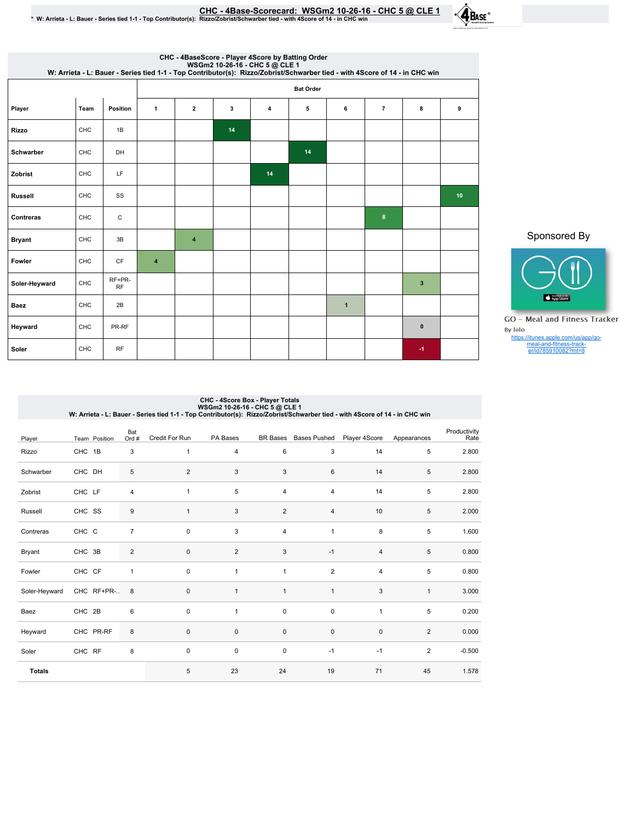| CHC - 4Base-Scorecard: WSGm2 10-26-16 - CHC 5 @ CLE 1                                                                         |
|-------------------------------------------------------------------------------------------------------------------------------|
| * W: Arrieta - L: Bauer - Series tied 1-1 - Top Contributor(s): Rizzo/Zobrist/Schwarber tied - with 4Score of 14 - in CHC win |

 $\cdot$ **4** BASE

| CHC - 4BaseScore - Player 4Score by Batting Order<br>WSGm2 10-26-16 - CHC 5 @ CLE 1<br>W: Arrieta - L: Bauer - Series tied 1-1 - Top Contributor(s): Rizzo/Zobrist/Schwarber tied - with 4Score of 14 - in CHC win |            |                     |                         |                      |    |    |    |              |                |              |                 |  |
|--------------------------------------------------------------------------------------------------------------------------------------------------------------------------------------------------------------------|------------|---------------------|-------------------------|----------------------|----|----|----|--------------|----------------|--------------|-----------------|--|
|                                                                                                                                                                                                                    |            |                     |                         | <b>Bat Order</b>     |    |    |    |              |                |              |                 |  |
| Player                                                                                                                                                                                                             | Team       | <b>Position</b>     | $\mathbf{1}$            | $\mathbf{2}$         | 3  | 4  | 5  | 6            | $\overline{7}$ | 8            | 9               |  |
| <b>Rizzo</b>                                                                                                                                                                                                       | <b>CHC</b> | 1B                  |                         |                      | 14 |    |    |              |                |              |                 |  |
| Schwarber                                                                                                                                                                                                          | CHC        | DH                  |                         |                      |    |    | 14 |              |                |              |                 |  |
| Zobrist                                                                                                                                                                                                            | CHC        | LF                  |                         |                      |    | 14 |    |              |                |              |                 |  |
| <b>Russell</b>                                                                                                                                                                                                     | CHC        | SS                  |                         |                      |    |    |    |              |                |              | 10 <sub>1</sub> |  |
| Contreras                                                                                                                                                                                                          | CHC        | $\mathsf C$         |                         |                      |    |    |    |              | 8              |              |                 |  |
| <b>Bryant</b>                                                                                                                                                                                                      | CHC        | 3B                  |                         | $\blacktriangleleft$ |    |    |    |              |                |              |                 |  |
| Fowler                                                                                                                                                                                                             | <b>CHC</b> | <b>CF</b>           | $\overline{\mathbf{4}}$ |                      |    |    |    |              |                |              |                 |  |
| Soler-Heyward                                                                                                                                                                                                      | CHC        | RF+PR-<br><b>RF</b> |                         |                      |    |    |    |              |                | $\mathbf{3}$ |                 |  |
| <b>Baez</b>                                                                                                                                                                                                        | CHC        | 2B                  |                         |                      |    |    |    | $\mathbf{1}$ |                |              |                 |  |
| Heyward                                                                                                                                                                                                            | CHC        | PR-RF               |                         |                      |    |    |    |              |                | $\pmb{0}$    |                 |  |
| Soler                                                                                                                                                                                                              | CHC        | <b>RF</b>           |                         |                      |    |    |    |              |                | $-1$         |                 |  |

### Sponsored By



GO - Meal and Fitness Tracker By Iolo https://itunes.apple.com/us/app/go-meal-and-fitness-track-er/id785910082?mt=8

# CHC - 4Score Box - Player Totals<br>W: Arrieta - L: Bauer - Series tied 1-1 - Top Contributor(s): Rizzo/Zobrist/Schwarber tied - with 4Score of 14 - in CHC win<br>W: Arrieta - L: Bauer - Series tied 1-1 - Top Contributor(s): Riz

| Player        | Team Position | Bat<br>Ord #     | Credit For Run | PA Bases       | <b>BR</b> Bases           | <b>Bases Pushed</b> | Player 4Score | Appearances    | Productivity<br>Rate |
|---------------|---------------|------------------|----------------|----------------|---------------------------|---------------------|---------------|----------------|----------------------|
| Rizzo         | CHC 1B        | 3                | $\mathbf{1}$   | 4              | 6                         | 3                   | 14            | 5              | 2.800                |
| Schwarber     | CHC DH        | 5                | 2              | 3              | $\ensuremath{\mathsf{3}}$ | 6                   | 14            | 5              | 2.800                |
| Zobrist       | CHC LF        | 4                | $\mathbf{1}$   | 5              | 4                         | 4                   | 14            | 5              | 2.800                |
| Russell       | CHC SS        | $\boldsymbol{9}$ | $\mathbf{1}$   | 3              | $\overline{2}$            | 4                   | 10            | 5              | 2.000                |
| Contreras     | CHC C         | $\overline{7}$   | $\pmb{0}$      | 3              | $\overline{\mathbf{4}}$   | $\mathbf{1}$        | 8             | 5              | 1.600                |
| Bryant        | CHC 3B        | $\overline{2}$   | $\pmb{0}$      | $\overline{2}$ | $\ensuremath{\mathsf{3}}$ | $-1$                | 4             | 5              | 0.800                |
| Fowler        | CHC CF        | $\mathbf{1}$     | $\mathbf 0$    | 1              | $\mathbf{1}$              | $\overline{2}$      | 4             | 5              | 0.800                |
| Soler-Heyward | CHC RF+PR- 8  |                  | $\pmb{0}$      | $\mathbf{1}$   | $\mathbf{1}$              | $\mathbf{1}$        | 3             | $\mathbf{1}$   | 3.000                |
| Baez          | CHC 2B        | $\,6\,$          | $\pmb{0}$      | 1              | $\pmb{0}$                 | $\pmb{0}$           | $\mathbf{1}$  | 5              | 0.200                |
| Heyward       | CHC PR-RF     | 8                | $\pmb{0}$      | $\pmb{0}$      | $\pmb{0}$                 | $\pmb{0}$           | $\pmb{0}$     | $\overline{2}$ | 0.000                |
| Soler         | CHC RF        | 8                | $\mathbf 0$    | $\pmb{0}$      | $\pmb{0}$                 | $-1$                | $-1$          | $\overline{2}$ | $-0.500$             |
| <b>Totals</b> |               |                  | 5              | 23             | 24                        | 19                  | 71            | 45             | 1.578                |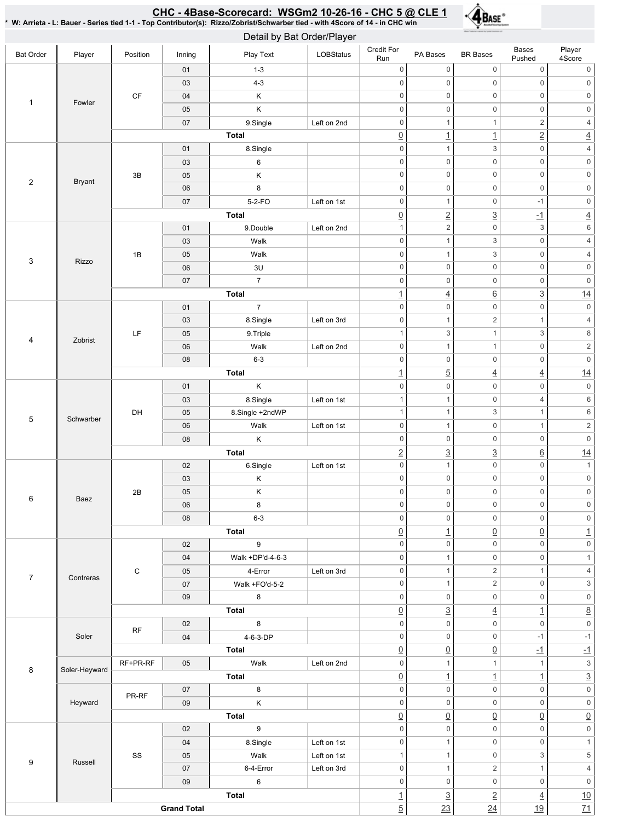# <u>CHC - 4Base-Scorecard: WSGm2 10-26-16 - CHC 5 @ CLE 1</u>



\* W: Arrieta - L: Bauer - Series tied 1-1 - Top Contributor(s): Rizzo/Zobrist/Schwarber tied - with 4Score of 14 - in CHC win

| Detail by Bat Order/Player |               |                        |          |                         |             |                                            |                                     |                                          |                                        |                                   |                     |
|----------------------------|---------------|------------------------|----------|-------------------------|-------------|--------------------------------------------|-------------------------------------|------------------------------------------|----------------------------------------|-----------------------------------|---------------------|
| <b>Bat Order</b>           | Player        | Position               | Inning   | Play Text               | LOBStatus   | Credit For<br>Run                          | PA Bases                            | <b>BR</b> Bases                          | Bases<br>Pushed                        | Player<br>4Score                  |                     |
| $\mathbf{1}$               |               |                        | 01       | $1 - 3$                 |             | $\mathbf 0$                                | $\mathsf{O}\xspace$                 | $\mathsf{O}\xspace$                      | $\mathsf 0$                            | $\mathsf{0}$                      |                     |
|                            |               |                        | 03       | $4 - 3$                 |             | $\mathsf{O}\xspace$                        | $\mathsf{O}\xspace$                 | $\mathbf 0$                              | $\mathsf 0$                            | $\,0\,$                           |                     |
|                            | Fowler        | $\mathsf{C}\mathsf{F}$ | 04       | Κ                       |             | $\mathsf{O}\xspace$                        | $\mathsf{O}\xspace$                 | $\mathbf 0$                              | $\mathsf{O}\xspace$                    | $\mathsf{O}\xspace$               |                     |
|                            |               |                        | 05       | Κ                       |             | $\mathsf{O}\xspace$                        | $\mathsf{O}\xspace$                 | $\mathbf 0$                              | $\mathsf{O}\xspace$                    | $\mathsf{O}\xspace$               |                     |
|                            |               |                        | 07       | 9.Single                | Left on 2nd | $\mathsf{O}\xspace$                        | $\mathbf{1}$                        | $\mathbf{1}$                             | $\overline{c}$                         | $\overline{4}$                    |                     |
|                            |               |                        |          | <b>Total</b>            |             | $\underline{0}$                            | $\overline{1}$                      | $\overline{1}$                           | $\overline{2}$                         | $\underline{4}$                   |                     |
|                            |               |                        | 01       | 8.Single                |             | $\mathsf{O}\xspace$                        | $\mathbf{1}$                        | $\ensuremath{\mathsf{3}}$                | $\mathsf{O}\xspace$                    | $\sqrt{4}$                        |                     |
|                            |               |                        | 03       | 6                       |             | $\mathsf{O}\xspace$                        | $\mathsf{O}\xspace$                 | $\mathbf 0$                              | $\mathsf 0$                            | $\mathsf{0}$                      |                     |
| $\sqrt{2}$                 | <b>Bryant</b> | 3B                     | 05       | Κ                       |             | $\mathsf{O}\xspace$                        | $\mathsf{O}\xspace$                 | $\mathbf 0$                              | $\mathsf 0$                            | $\mathsf{O}\xspace$               |                     |
|                            |               |                        | 06       | 8                       |             | $\mathsf{O}\xspace$<br>$\mathsf{O}\xspace$ | $\mathbf 0$                         | $\mathbf 0$<br>$\mathbf 0$               | $\mathsf 0$                            | $\mathsf{O}\xspace$               |                     |
|                            |               |                        | 07       | $5-2-FO$                | Left on 1st |                                            | $\mathbf{1}$                        |                                          | $-1$                                   | $\mathsf{O}\xspace$               |                     |
|                            |               |                        |          | <b>Total</b>            |             | $\underline{0}$<br>$\mathbf{1}$            | $\underline{2}$<br>$\overline{2}$   | $\overline{3}$<br>$\mathsf{O}\xspace$    | $-1$<br>$\,$ 3 $\,$                    | $\underline{4}$<br>$\,6\,$        |                     |
|                            |               |                        | 01       | 9.Double<br>Walk        | Left on 2nd | $\mathsf{O}\xspace$                        | $\mathbf{1}$                        | $\ensuremath{\mathsf{3}}$                | $\mathsf 0$                            | $\sqrt{4}$                        |                     |
|                            |               |                        | 03       |                         |             |                                            |                                     |                                          |                                        |                                   |                     |
| $\mathbf{3}$               | Rizzo         | 1B                     | 05       | Walk                    |             | $\mathsf{O}\xspace$<br>$\mathsf{O}\xspace$ | $\mathbf{1}$<br>$\mathsf{O}\xspace$ | $\ensuremath{\mathsf{3}}$<br>$\mathbf 0$ | $\mathsf 0$<br>$\mathsf 0$             | $\sqrt{4}$<br>$\mathsf{O}\xspace$ |                     |
|                            |               |                        | 06       | 3U<br>$\overline{7}$    |             |                                            | $\mathbf 0$                         | $\mathbf 0$                              | $\mathsf 0$                            |                                   |                     |
|                            |               |                        | 07       |                         |             | $\boldsymbol{0}$                           |                                     |                                          |                                        | $\mathsf{0}$                      |                     |
|                            |               |                        |          | Total<br>$\overline{7}$ |             | $\overline{1}$<br>$\mathsf{O}\xspace$      | $\overline{4}$<br>0                 | $\underline{6}$<br>$\mathbf 0$           | $\underline{3}$<br>$\mathsf{O}\xspace$ | 14<br>$\mathsf{0}$                |                     |
|                            |               |                        | 01<br>03 | 8.Single                | Left on 3rd | $\mathsf{O}\xspace$                        | $\mathbf{1}$                        | $\sqrt{2}$                               | $\mathbf{1}$                           | $\sqrt{4}$                        |                     |
|                            |               |                        | 05       | 9.Triple                |             | $\mathbf{1}$                               | $\mathfrak{S}$                      | $\mathbf{1}$                             | 3                                      | $\,8\,$                           |                     |
| $\overline{4}$             | Zobrist       | LF                     |          | 06                      | Walk        | Left on 2nd                                | $\mathsf{O}\xspace$                 | $\mathbf{1}$                             | $\mathbf{1}$                           | $\mathsf{O}\xspace$               | $\mathbf 2$         |
|                            |               |                        | 08       | $6 - 3$                 |             | $\mathsf{O}\xspace$                        | $\mathsf{O}\xspace$                 | $\mathbf 0$                              | $\mathsf{O}\xspace$                    | $\mathsf{O}\xspace$               |                     |
|                            |               |                        |          | <b>Total</b>            |             | $\overline{1}$                             | $\underline{5}$                     |                                          |                                        | 14                                |                     |
|                            |               |                        | 01       | Κ                       |             | $\mathsf{O}\xspace$                        | $\mathsf 0$                         | $\overline{4}$<br>$\mathbf 0$            | $\overline{4}$<br>$\mathsf{O}\xspace$  | $\mathsf{O}\xspace$               |                     |
|                            |               |                        | 03       | 8.Single                | Left on 1st | $\mathbf{1}$                               | $\mathbf{1}$                        | $\mathbf 0$                              | $\overline{\mathcal{L}}$               | $\,6\,$                           |                     |
|                            |               | DH                     | 05       | 8.Single +2ndWP         |             | $\mathbf{1}$                               | $\mathbf{1}$                        | $\ensuremath{\mathsf{3}}$                | $\mathbf{1}$                           | $\,6\,$                           |                     |
| $\,$ 5 $\,$                | Schwarber     |                        | 06       | Walk                    | Left on 1st | $\mathsf{O}\xspace$                        | $\mathbf{1}$                        | $\mathbf 0$                              | $\mathbf{1}$                           | $\sqrt{2}$                        |                     |
|                            |               |                        | 08       | Κ                       |             | $\mathsf{O}\xspace$                        | $\mathsf{O}\xspace$                 | $\mathsf{O}\xspace$                      | $\mathsf{O}\xspace$                    | $\mathsf{O}\xspace$               |                     |
|                            |               |                        |          | <b>Total</b>            |             | $\overline{2}$                             | $\underline{3}$                     | $\overline{3}$                           | $\underline{6}$                        | 14                                |                     |
|                            |               |                        | 02       | 6.Single                | Left on 1st | $\mathsf{O}\xspace$                        | $\mathbf{1}$                        | $\mathbf 0$                              | $\mathsf{O}\xspace$                    | $\mathbf{1}$                      |                     |
|                            | Baez          | 2B                     | 03       | Κ                       |             | 0                                          | $\mathsf{O}\xspace$                 | $\mathbf 0$                              | $\mathsf 0$                            | $\mathsf{0}$                      |                     |
|                            |               |                        |          | 05                      | Κ           |                                            | $\mathsf{O}\xspace$                 | 0                                        | $\mathsf 0$                            | $\mathsf 0$                       | $\mathsf{O}$        |
| 6                          |               |                        |          |                         | 06          | 8                                          |                                     | $\mathsf{O}\xspace$                      | $\mathsf{O}\xspace$                    | $\mathbf 0$                       | $\mathsf{O}\xspace$ |
|                            |               |                        | 08       | $6 - 3$                 |             | 0                                          | $\mathbf 0$                         | $\mathsf{O}\xspace$                      | $\mathsf 0$                            | $\mathsf{O}\xspace$               |                     |
|                            |               |                        |          | <b>Total</b>            |             | $\underline{0}$                            | $\overline{1}$                      | $\underline{0}$                          | $\underline{0}$                        | $\overline{1}$                    |                     |
|                            |               |                        | 02       | 9                       |             | $\mathsf{O}\xspace$                        | $\mathbf 0$                         | $\mathsf 0$                              | $\mathsf 0$                            | $\mathsf{O}\xspace$               |                     |
|                            |               | $\mathbf C$            | 04       | Walk +DP'd-4-6-3        |             | $\mathbf 0$                                | $\mathbf{1}$                        | $\mathbf 0$                              | $\mathsf 0$                            | $\mathbf{1}$                      |                     |
|                            |               |                        | 05       | 4-Error                 | Left on 3rd | $\mathsf{O}\xspace$                        | $\mathbf{1}$                        | $\sqrt{2}$                               | $\mathbf{1}$                           | $\sqrt{4}$                        |                     |
| $\overline{7}$             | Contreras     |                        | 07       | Walk +FO'd-5-2          |             | $\mathsf{O}\xspace$                        | $\mathbf{1}$                        | $\sqrt{2}$                               | $\mathsf 0$                            | $\ensuremath{\mathsf{3}}$         |                     |
|                            |               |                        | $09\,$   | 8                       |             | $\mathsf{O}\xspace$                        | $\mathsf{O}\xspace$                 | $\mathsf{O}\xspace$                      | $\mathsf 0$                            | $\mathsf{0}$                      |                     |
|                            |               |                        |          | Total                   |             | $\underline{0}$                            | $\underline{3}$                     | $\overline{4}$                           | $\overline{1}$                         | $\underline{8}$                   |                     |
|                            |               |                        | 02       | 8                       |             | $\mathsf{O}\xspace$                        | $\mathsf 0$                         | $\mathbf 0$                              | $\mathbf 0$                            | $\mathsf{O}\xspace$               |                     |
|                            | Soler         | RF                     | 04       | 4-6-3-DP                |             | $\mathsf{O}\xspace$                        | $\mathbf 0$                         | $\mathsf{O}\xspace$                      | $-1$                                   | $-1$                              |                     |
|                            |               |                        |          | Total                   |             | $\underline{0}$                            | $\underline{0}$                     | $\underline{0}$                          | $\overline{-1}$                        | $-1$                              |                     |
|                            |               | RF+PR-RF               | 05       | Walk                    | Left on 2nd | $\mathsf{O}\xspace$                        | $\mathbf{1}$                        | $\mathbf{1}$                             | $\mathbf{1}$                           | $\ensuremath{\mathsf{3}}$         |                     |
| 8                          | Soler-Heyward |                        |          | Total                   |             | $\underline{0}$                            | $\underline{\mathbf{1}}$            | $\overline{1}$                           | $\overline{1}$                         | $\overline{3}$                    |                     |
|                            |               |                        | 07       | 8                       |             | $\mathsf{O}\xspace$                        | $\mathsf{O}\xspace$                 | $\mathbf 0$                              | $\mathsf 0$                            | $\mathsf{O}\xspace$               |                     |
|                            | Heyward       | PR-RF                  | 09       | $\mathsf K$             |             | $\mathsf{O}\xspace$                        | $\mathbf 0$                         | $\mathbf 0$                              | $\mathsf 0$                            | $\mathsf{0}$                      |                     |
|                            |               |                        |          | <b>Total</b>            |             | $\underline{0}$                            | $\underline{0}$                     | $\underline{0}$                          | $\underline{0}$                        | $\underline{0}$                   |                     |
|                            |               |                        | 02       | 9                       |             | $\mathsf{O}\xspace$                        | $\mathsf{O}\xspace$                 | $\mathsf{O}\xspace$                      | $\mathsf 0$                            | $\mathsf{O}\xspace$               |                     |
|                            |               |                        | 04       | 8.Single                | Left on 1st | $\mathsf{O}\xspace$                        | $\mathbf{1}$                        | $\mathbf 0$                              | $\mathsf 0$                            | $\mathbf{1}$                      |                     |
|                            |               | SS                     | 05       | Walk                    | Left on 1st | $\mathbf{1}$                               | $\mathbf{1}$                        | $\mathbf 0$                              | 3                                      | $\,$ 5 $\,$                       |                     |
| $\boldsymbol{9}$           | Russell       |                        | 07       | 6-4-Error               | Left on 3rd | $\mathsf{O}\xspace$                        | $\mathbf{1}$                        | $\overline{2}$                           | $\mathbf{1}$                           | $\overline{4}$                    |                     |
|                            |               |                        | 09       | 6                       |             | $\mathsf{O}\xspace$                        | $\mathbf 0$                         | $\mathsf{O}\xspace$                      | $\mathsf 0$                            | $\mathsf{O}\xspace$               |                     |
|                            |               |                        | Total    |                         |             |                                            | $\underline{3}$                     | $\overline{2}$                           | $\overline{4}$                         | 10                                |                     |
| <b>Grand Total</b>         |               |                        |          |                         |             |                                            | 23                                  | 24                                       | 19                                     | $\overline{71}$                   |                     |